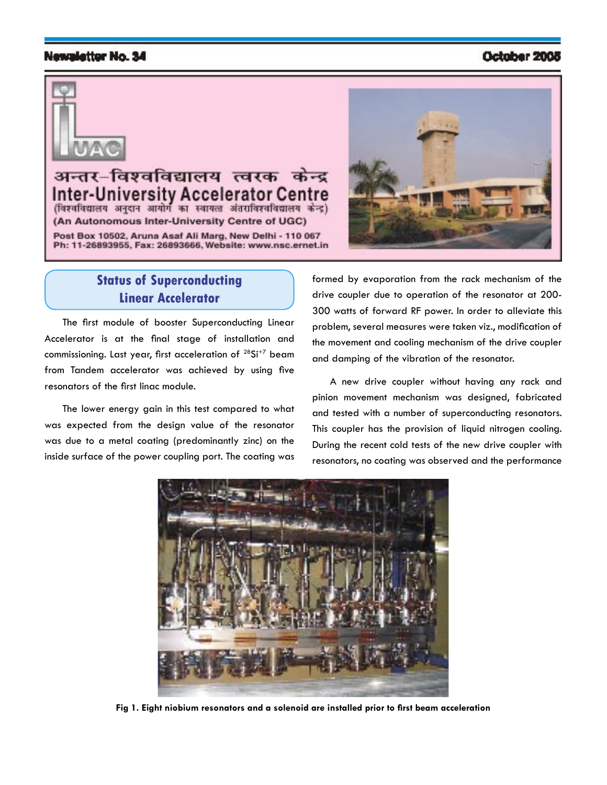#### Newsletter No. 34

### October 2005



अन्तर–विश्वविद्यालय त्वरक lv Accelerato (विश्वविद्यालय अनुदान आयोग का स्वायत्त अंतराविश्वविद्यालय केन्द्र) (An Autonomous Inter-University Centre of UGC) Post Box 10502, Aruna Asaf Ali Marg, New Delhi - 110 067 Ph: 11-26893955, Fax: 26893666, Website: www.nsc.ernet.in



## **Status of Superconducting Linear Accelerator**

The first module of booster Superconducting Linear Accelerator is at the final stage of installation and commissioning. Last year, first acceleration of <sup>28</sup>Si<sup>+7</sup> beam from Tandem accelerator was achieved by using five resonators of the first linac module.

The lower energy gain in this test compared to what was expected from the design value of the resonator was due to a metal coating (predominantly zinc) on the inside surface of the power coupling port. The coating was formed by evaporation from the rack mechanism of the drive coupler due to operation of the resonator at 200- 300 watts of forward RF power. In order to alleviate this problem, several measures were taken viz., modification of the movement and cooling mechanism of the drive coupler and damping of the vibration of the resonator.

A new drive coupler without having any rack and pinion movement mechanism was designed, fabricated and tested with a number of superconducting resonators. This coupler has the provision of liquid nitrogen cooling. During the recent cold tests of the new drive coupler with resonators, no coating was observed and the performance



**Fig 1. Eight niobium resonators and a solenoid are installed prior to first beam acceleration**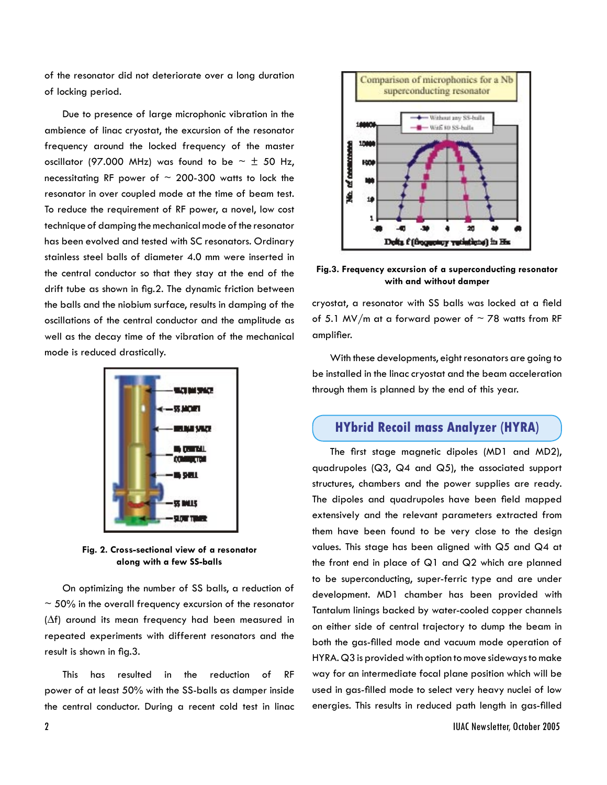of the resonator did not deteriorate over a long duration of locking period.

Due to presence of large microphonic vibration in the ambience of linac cryostat, the excursion of the resonator frequency around the locked frequency of the master oscillator (97.000 MHz) was found to be  $\sim \pm$  50 Hz, necessitating RF power of  $\sim$  200-300 watts to lock the resonator in over coupled mode at the time of beam test. To reduce the requirement of RF power, a novel, low cost technique of damping the mechanical mode of the resonator has been evolved and tested with SC resonators. Ordinary stainless steel balls of diameter 4.0 mm were inserted in the central conductor so that they stay at the end of the drift tube as shown in fig.2. The dynamic friction between the balls and the niobium surface, results in damping of the oscillations of the central conductor and the amplitude as well as the decay time of the vibration of the mechanical mode is reduced drastically.



**Fig. 2. Cross-sectional view of a resonator along with a few SS-balls**

On optimizing the number of SS balls, a reduction of  $\sim$  50% in the overall frequency excursion of the resonator (∆f) around its mean frequency had been measured in repeated experiments with different resonators and the result is shown in fig.3.

This has resulted in the reduction of RF power of at least 50% with the SS-balls as damper inside the central conductor. During a recent cold test in linac



**Fig.3. Frequency excursion of a superconducting resonator with and without damper**

cryostat, a resonator with SS balls was locked at a field of 5.1 MV/m at a forward power of  $\sim$  78 watts from RF amplifier.

With these developments, eight resonators are going to be installed in the linac cryostat and the beam acceleration through them is planned by the end of this year.

## **HYbrid Recoil mass Analyzer (HYRA)**

The first stage magnetic dipoles (MD1 and MD2), quadrupoles (Q3, Q4 and Q5), the associated support structures, chambers and the power supplies are ready. The dipoles and quadrupoles have been field mapped extensively and the relevant parameters extracted from them have been found to be very close to the design values. This stage has been aligned with Q5 and Q4 at the front end in place of Q1 and Q2 which are planned to be superconducting, super-ferric type and are under development. MD1 chamber has been provided with Tantalum linings backed by water-cooled copper channels on either side of central trajectory to dump the beam in both the gas-filled mode and vacuum mode operation of HYRA. Q3 is provided with option to move sideways to make way for an intermediate focal plane position which will be used in gas-filled mode to select very heavy nuclei of low energies. This results in reduced path length in gas-filled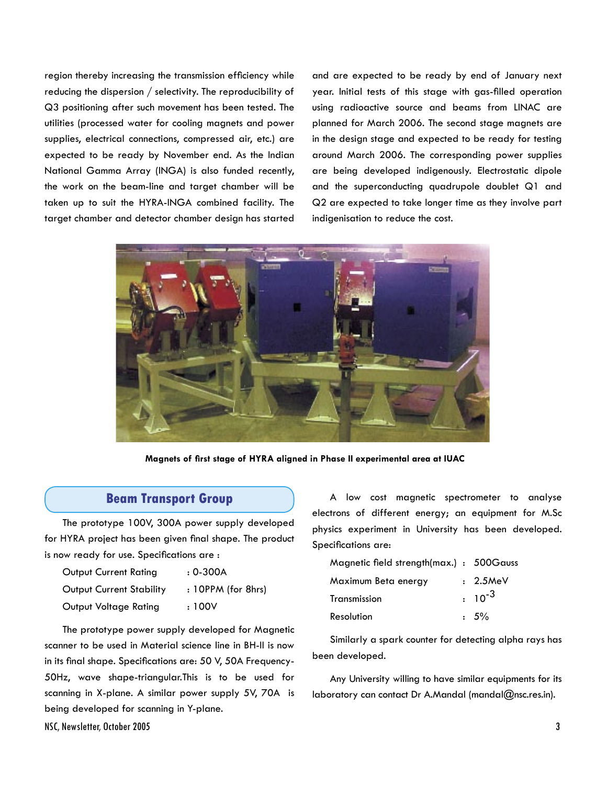region thereby increasing the transmission efficiency while reducing the dispersion / selectivity. The reproducibility of Q3 positioning after such movement has been tested. The utilities (processed water for cooling magnets and power supplies, electrical connections, compressed air, etc.) are expected to be ready by November end. As the Indian National Gamma Array (INGA) is also funded recently, the work on the beam-line and target chamber will be taken up to suit the HYRA-INGA combined facility. The target chamber and detector chamber design has started and are expected to be ready by end of January next year. Initial tests of this stage with gas-filled operation using radioactive source and beams from LINAC are planned for March 2006. The second stage magnets are in the design stage and expected to be ready for testing around March 2006. The corresponding power supplies are being developed indigenously. Electrostatic dipole and the superconducting quadrupole doublet Q1 and Q2 are expected to take longer time as they involve part indigenisation to reduce the cost.



**Magnets of first stage of HYRA aligned in Phase II experimental area at IUAC**

#### **Beam Transport Group**

The prototype 100V, 300A power supply developed for HYRA project has been given final shape. The product is now ready for use. Specifications are :

| Output Current Rating           | $: 0 - 300A$       |
|---------------------------------|--------------------|
| <b>Output Current Stability</b> | : 10PPM (for 8hrs) |
| Output Voltage Rating           | : 100V             |

The prototype power supply developed for Magnetic scanner to be used in Material science line in BH-II is now in its final shape. Specifications are: 50 V, 50A Frequency-50Hz, wave shape-triangular.This is to be used for scanning in X-plane. A similar power supply 5V, 70A is being developed for scanning in Y-plane.

A low cost magnetic spectrometer to analyse electrons of different energy; an equipment for M.Sc physics experiment in University has been developed. Specifications are:

| Magnetic field strength(max.) : 500Gauss |             |
|------------------------------------------|-------------|
| Maximum Beta energy                      | $: 2.5$ MeV |
| Transmission                             | $: 10^{-3}$ |
| Resolution                               | $.5\%$      |

Similarly a spark counter for detecting alpha rays has been developed.

Any University willing to have similar equipments for its laboratory can contact Dr A.Mandal (mandal@nsc.res.in).

NSC, Newsletter, October 2005 3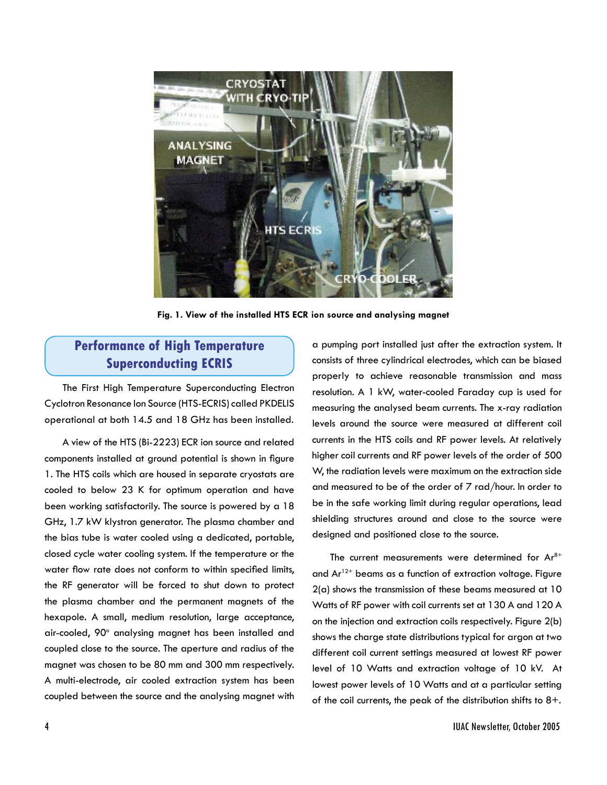

**Fig. 1. View of the installed HTS ECR ion source and analysing magnet**

# **Performance of High Temperature Superconducting ECRIS**

The First High Temperature Superconducting Electron Cyclotron Resonance Ion Source (HTS-ECRIS) called PKDELIS operational at both 14.5 and 18 GHz has been installed.

A view of the HTS (Bi-2223) ECR ion source and related components installed at ground potential is shown in figure 1. The HTS coils which are housed in separate cryostats are cooled to below 23 K for optimum operation and have been working satisfactorily. The source is powered by a 18 GHz, 1.7 kW klystron generator. The plasma chamber and the bias tube is water cooled using a dedicated, portable, closed cycle water cooling system. If the temperature or the water flow rate does not conform to within specified limits, the RF generator will be forced to shut down to protect the plasma chamber and the permanent magnets of the hexapole. A small, medium resolution, large acceptance, air-cooled, 90° analysing magnet has been installed and coupled close to the source. The aperture and radius of the magnet was chosen to be 80 mm and 300 mm respectively. A multi-electrode, air cooled extraction system has been coupled between the source and the analysing magnet with

a pumping port installed just after the extraction system. It consists of three cylindrical electrodes, which can be biased properly to achieve reasonable transmission and mass resolution. A 1 kW, water-cooled Faraday cup is used for measuring the analysed beam currents. The x-ray radiation levels around the source were measured at different coil currents in the HTS coils and RF power levels. At relatively higher coil currents and RF power levels of the order of 500 W, the radiation levels were maximum on the extraction side and measured to be of the order of 7 rad/hour. In order to be in the safe working limit during regular operations, lead shielding structures around and close to the source were designed and positioned close to the source.

The current measurements were determined for  $Ar^{8+}$ and  $Ar^{12+}$  beams as a function of extraction voltage. Figure 2(a) shows the transmission of these beams measured at 10 Watts of RF power with coil currents set at 130 A and 120 A on the injection and extraction coils respectively. Figure 2(b) shows the charge state distributions typical for argon at two different coil current settings measured at lowest RF power level of 10 Watts and extraction voltage of 10 kV. At lowest power levels of 10 Watts and at a particular setting of the coil currents, the peak of the distribution shifts to  $8+$ .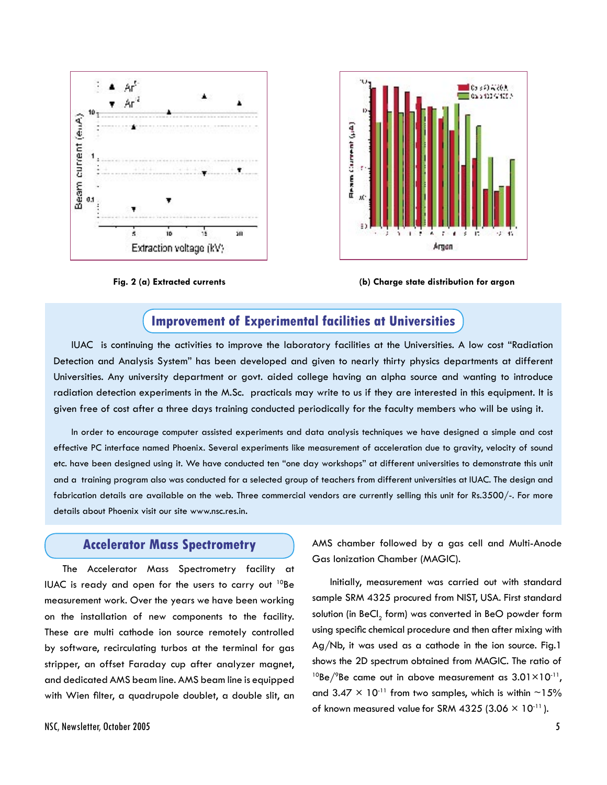





**Fig. 2 (a) Extracted currents (b) Charge state distribution for argon**

## **Improvement of Experimental facilities at Universities**

IUAC is continuing the activities to improve the laboratory facilities at the Universities. A low cost "Radiation Detection and Analysis System" has been developed and given to nearly thirty physics departments at different Universities. Any university department or govt. aided college having an alpha source and wanting to introduce radiation detection experiments in the M.Sc. practicals may write to us if they are interested in this equipment. It is given free of cost after a three days training conducted periodically for the faculty members who will be using it.

In order to encourage computer assisted experiments and data analysis techniques we have designed a simple and cost effective PC interface named Phoenix. Several experiments like measurement of acceleration due to gravity, velocity of sound etc. have been designed using it. We have conducted ten "one day workshops" at different universities to demonstrate this unit and a training program also was conducted for a selected group of teachers from different universities at IUAC. The design and fabrication details are available on the web. Three commercial vendors are currently selling this unit for Rs.3500/-. For more details about Phoenix visit our site www.nsc.res.in.

### **Accelerator Mass Spectrometry**

The Accelerator Mass Spectrometry facility at IUAC is ready and open for the users to carry out  $10Be$ measurement work. Over the years we have been working on the installation of new components to the facility. These are multi cathode ion source remotely controlled by software, recirculating turbos at the terminal for gas stripper, an offset Faraday cup after analyzer magnet, and dedicated AMS beam line. AMS beam line is equipped with Wien filter, a quadrupole doublet, a double slit, an AMS chamber followed by a gas cell and Multi-Anode Gas Ionization Chamber (MAGIC).

Initially, measurement was carried out with standard sample SRM 4325 procured from NIST, USA. First standard solution (in BeCl $_{_{2}}$  form) was converted in BeO powder form using specific chemical procedure and then after mixing with Ag/Nb, it was used as a cathode in the ion source. Fig.1 shows the 2D spectrum obtained from MAGIC. The ratio of <sup>10</sup>Be/<sup>9</sup>Be came out in above measurement as  $3.01\times10^{-11}$ , and  $3.47 \times 10^{-11}$  from two samples, which is within ~15% of known measured value for SRM 4325 (3.06  $\times$  10<sup>-11</sup>).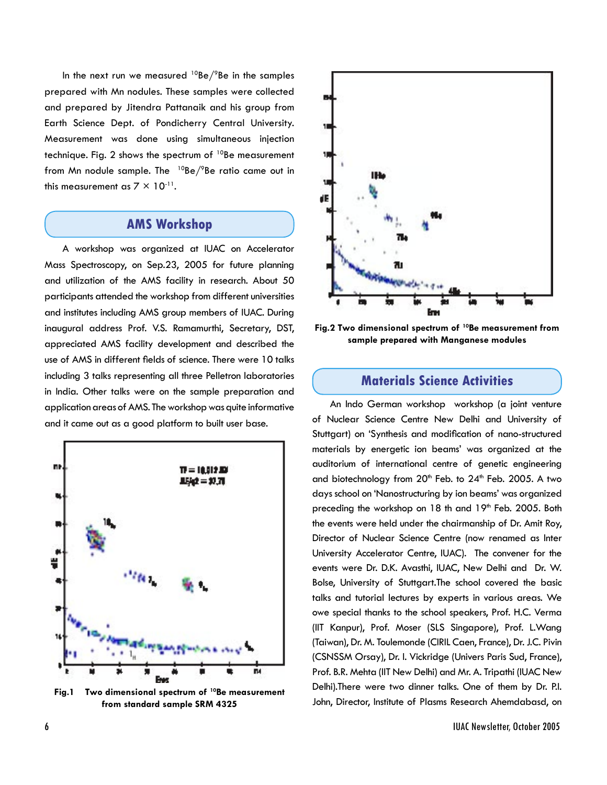In the next run we measured  $^{10}$ Be/ $^{9}$ Be in the samples prepared with Mn nodules. These samples were collected and prepared by Jitendra Pattanaik and his group from Earth Science Dept. of Pondicherry Central University. Measurement was done using simultaneous injection technique. Fig. 2 shows the spectrum of  $10Be$  measurement from Mn nodule sample. The  $10Be/9Be$  ratio came out in this measurement as  $7 \times 10^{-11}$ .

## **AMS Workshop**

A workshop was organized at IUAC on Accelerator Mass Spectroscopy, on Sep.23, 2005 for future planning and utilization of the AMS facility in research. About 50 participants attended the workshop from different universities and institutes including AMS group members of IUAC. During inaugural address Prof. V.S. Ramamurthi, Secretary, DST, appreciated AMS facility development and described the use of AMS in different fields of science. There were 10 talks including 3 talks representing all three Pelletron laboratories in India. Other talks were on the sample preparation and application areas of AMS. The workshop was quite informative and it came out as a good platform to built user base.



**Fig.1 Two dimensional spectrum of 10Be measurement from standard sample SRM 4325**



**Fig.2 Two dimensional spectrum of 10Be measurement from sample prepared with Manganese modules** 

### **Materials Science Activities**

An Indo German workshop workshop (a joint venture of Nuclear Science Centre New Delhi and University of Stuttgart) on 'Synthesis and modification of nano-structured materials by energetic ion beams' was organized at the auditorium of international centre of genetic engineering and biotechnology from  $20<sup>th</sup>$  Feb. to  $24<sup>th</sup>$  Feb. 2005. A two days school on 'Nanostructuring by ion beams' was organized preceding the workshop on 18 th and 19<sup>th</sup> Feb. 2005. Both the events were held under the chairmanship of Dr. Amit Roy, Director of Nuclear Science Centre (now renamed as Inter University Accelerator Centre, IUAC). The convener for the events were Dr. D.K. Avasthi, IUAC, New Delhi and Dr. W. Bolse, University of Stuttgart.The school covered the basic talks and tutorial lectures by experts in various areas. We owe special thanks to the school speakers, Prof. H.C. Verma (IIT Kanpur), Prof. Moser (SLS Singapore), Prof. L.Wang (Taiwan), Dr. M. Toulemonde (CIRIL Caen, France), Dr. J.C. Pivin (CSNSSM Orsay), Dr. I. Vickridge (Univers Paris Sud, France), Prof. B.R. Mehta (IIT New Delhi) and Mr. A. Tripathi (IUAC New Delhi).There were two dinner talks. One of them by Dr. P.I. John, Director, Institute of Plasms Research Ahemdabasd, on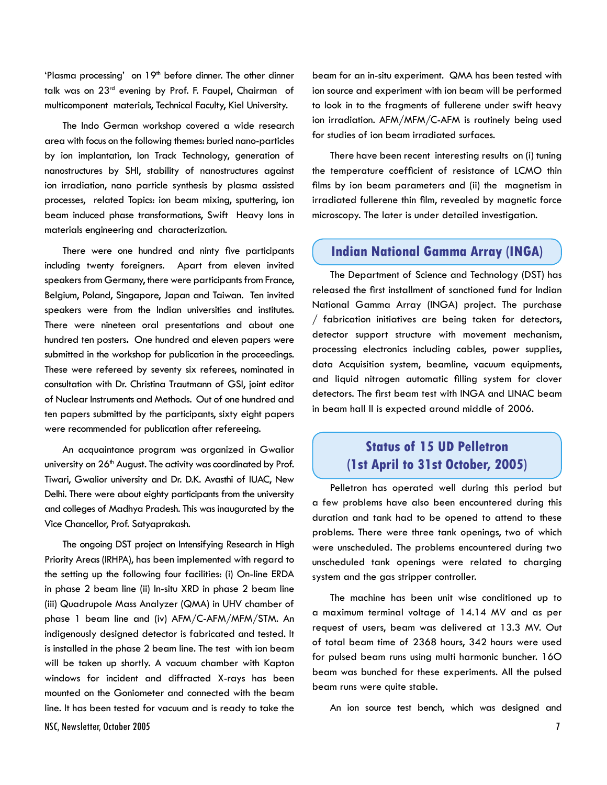'Plasma processing' on 19<sup>th</sup> before dinner. The other dinner talk was on 23rd evening by Prof. F. Faupel, Chairman of multicomponent materials, Technical Faculty, Kiel University.

The Indo German workshop covered a wide research area with focus on the following themes: buried nano-particles by ion implantation, Ion Track Technology, generation of nanostructures by SHI, stability of nanostructures against ion irradiation, nano particle synthesis by plasma assisted processes, related Topics: ion beam mixing, sputtering, ion beam induced phase transformations, Swift Heavy Ions in materials engineering and characterization.

There were one hundred and ninty five participants including twenty foreigners. Apart from eleven invited speakers from Germany, there were participants from France, Belgium, Poland, Singapore, Japan and Taiwan. Ten invited speakers were from the Indian universities and institutes. There were nineteen oral presentations and about one hundred ten posters**.** One hundred and eleven papers were submitted in the workshop for publication in the proceedings. These were refereed by seventy six referees, nominated in consultation with Dr. Christina Trautmann of GSI, joint editor of Nuclear Instruments and Methods. Out of one hundred and ten papers submitted by the participants, sixty eight papers were recommended for publication after refereeing.

An acquaintance program was organized in Gwalior university on  $26<sup>th</sup>$  August. The activity was coordinated by Prof. Tiwari, Gwalior university and Dr. D.K. Avasthi of IUAC, New Delhi. There were about eighty participants from the university and colleges of Madhya Pradesh. This was inaugurated by the Vice Chancellor, Prof. Satyaprakash.

NSC, Newsletter, October 2005 7 The ongoing DST project on Intensifying Research in High Priority Areas (IRHPA), has been implemented with regard to the setting up the following four facilities: (i) On-line ERDA in phase 2 beam line (ii) In-situ XRD in phase 2 beam line (iii) Quadrupole Mass Analyzer (QMA) in UHV chamber of phase 1 beam line and (iv) AFM/C-AFM/MFM/STM. An indigenously designed detector is fabricated and tested. It is installed in the phase 2 beam line. The test with ion beam will be taken up shortly. A vacuum chamber with Kapton windows for incident and diffracted X-rays has been mounted on the Goniometer and connected with the beam line. It has been tested for vacuum and is ready to take the

beam for an in-situ experiment. QMA has been tested with ion source and experiment with ion beam will be performed to look in to the fragments of fullerene under swift heavy ion irradiation. AFM/MFM/C-AFM is routinely being used for studies of ion beam irradiated surfaces.

There have been recent interesting results on (i) tuning the temperature coefficient of resistance of LCMO thin films by ion beam parameters and (ii) the magnetism in irradiated fullerene thin film, revealed by magnetic force microscopy. The later is under detailed investigation.

#### **Indian National Gamma Array (INGA)**

The Department of Science and Technology (DST) has released the first installment of sanctioned fund for Indian National Gamma Array (INGA) project. The purchase / fabrication initiatives are being taken for detectors, detector support structure with movement mechanism, processing electronics including cables, power supplies, data Acquisition system, beamline, vacuum equipments, and liquid nitrogen automatic filling system for clover detectors. The first beam test with INGA and LINAC beam in beam hall II is expected around middle of 2006.

## **Status of 15 UD Pelletron (1st April to 31st October, 2005)**

Pelletron has operated well during this period but a few problems have also been encountered during this duration and tank had to be opened to attend to these problems. There were three tank openings, two of which were unscheduled. The problems encountered during two unscheduled tank openings were related to charging system and the gas stripper controller.

The machine has been unit wise conditioned up to a maximum terminal voltage of 14.14 MV and as per request of users, beam was delivered at 13.3 MV. Out of total beam time of 2368 hours, 342 hours were used for pulsed beam runs using multi harmonic buncher. 16O beam was bunched for these experiments. All the pulsed beam runs were quite stable.

An ion source test bench, which was designed and